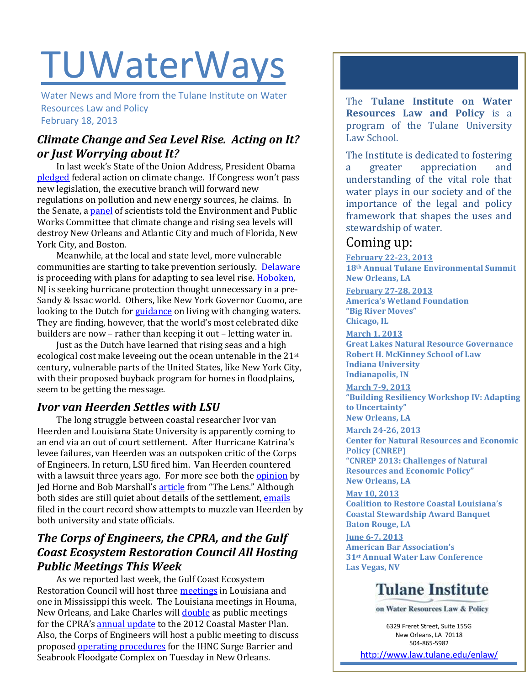# **TUWaterWays**

Water News and More from the Tulane Institute on Water Resources Law and Policy February 18, 2013

# *Climate Change and Sea Level Rise. Acting on It? or Just Worrying about It?*

In last week's State of the Union Address, President Obama [pledged](http://news.nationalgeographic.com/news/energy/2013/2/130212-obama-pledges-climate-change-action) federal action on climate change. If Congress won't pass new legislation, the executive branch will forward new regulations on pollution and new energy sources, he claims. In the Senate, [a panel](http://www.eenews.net/public/climatewire/2013/02/14/2) of scientists told the Environment and Public Works Committee that climate change and rising sea levels will destroy New Orleans and Atlantic City and much of Florida, New York City, and Boston.

Meanwhile, at the local and state level, more vulnerable communities are starting to take prevention seriously. [Delaware](http://www.sfgate.com/news/science/article/Delaware-holding-1st-meeting-on-sea-level-rise-4274183.php) is proceeding with plans for adapting to sea level rise[. Hoboken,](http://www.nytimes.com/2013/02/13/nyregion/hoboken-mayor-zimmer-seeks-hurricane-protection-for-high-rises.html)  NJ is seeking hurricane protection thought unnecessary in a pre-Sandy & Issac world. Others, like New York Governor Cuomo, are looking to the Dutch fo[r guidance](http://www.nytimes.com/2013/02/17/arts/design/flood-control-in-the-netherlands-now-allows-sea-water-in.html?pagewanted=all&_r=1&) on living with changing waters. They are finding, however, that the world's most celebrated dike builders are now – rather than keeping it out – letting water in.

Just as the Dutch have learned that rising seas and a high ecological cost make leveeing out the ocean untenable in the 21st century, vulnerable parts of the United States, like New York City, with their proposed buyback program for homes in floodplains, seem to be getting the message.

# *Ivor van Heerden Settles with LSU*

The long struggle between coastal researcher Ivor van Heerden and Louisiana State University is apparently coming to an end via an out of court settlement. After Hurricane Katrina's levee failures, van Heerden was an outspoken critic of the Corps of Engineers. In return, LSU fired him. Van Heerden countered with a lawsuit three years ago. For more see both the **opinion** by Jed Horne and Bob Marshall's [article](http://thelensnola.org/2013/02/12/ivor-van-heerden-lsu-settle-wrongful-termination-lawsuit/) from "The Lens." Although both sides are still quiet about details of the settlement, [emails](http://theadvocate.com/news/5198507-123/released-emails-show-try-to) filed in the court record show attempts to muzzle van Heerden by both university and state officials.

# *The Corps of Engineers, the CPRA, and the Gulf Coast Ecosystem Restoration Council All Hosting Public Meetings This Week*

As we reported last week, the Gulf Coast Ecosystem Restoration Council will host three **meetings** in Louisiana and one in Mississippi this week. The Louisiana meetings in Houma, New Orleans, and Lake Charles will **double** as public meetings for the CPRA's [annual update](http://www.lacpra.org/assets/docs/draftFY2014AnnualPlanLow.pdf) to the 2012 Coastal Master Plan. Also, the Corps of Engineers will host a public meeting to discuss proposed [operating procedures](http://www.mvn.usace.army.mil/news/view.asp?ID=628) for the IHNC Surge Barrier and Seabrook Floodgate Complex on Tuesday in New Orleans.

The **Tulane Institute on Water Resources Law and Policy** is a program of the Tulane University Law School.

The Institute is dedicated to fostering a greater appreciation and understanding of the vital role that water plays in our society and of the importance of the legal and policy framework that shapes the uses and stewardship of water.

# Coming up:

**February 22-23, 2013 18th Annual Tulane Environmental Summit New Orleans, LA**

**February 27-28, 2013 America's Wetland Foundation "Big River Moves" Chicago, IL**

**March 1, 2013 Great Lakes Natural Resource Governance Robert H. McKinney School of Law Indiana University Indianapolis, IN**

**March 7-9, 2013 "Building Resiliency Workshop IV: Adapting to Uncertainty" New Orleans, LA** 

**March 24-26, 2013 Center for Natural Resources and Economic Policy (CNREP) "CNREP 2013: Challenges of Natural Resources and Economic Policy" New Orleans, LA**

**May 10, 2013 Coalition to Restore Coastal Louisiana's Coastal Stewardship Award Banquet Baton Rouge, LA**

**June 6-7, 2013 American Bar Association's 31st Annual Water Law Conference Las Vegas, NV**

# **Tulane Institute**

on Water Resources Law & Policy

6329 Freret Street, Suite 155G New Orleans, LA 70118 504-865-5982

<http://www.law.tulane.edu/enlaw/>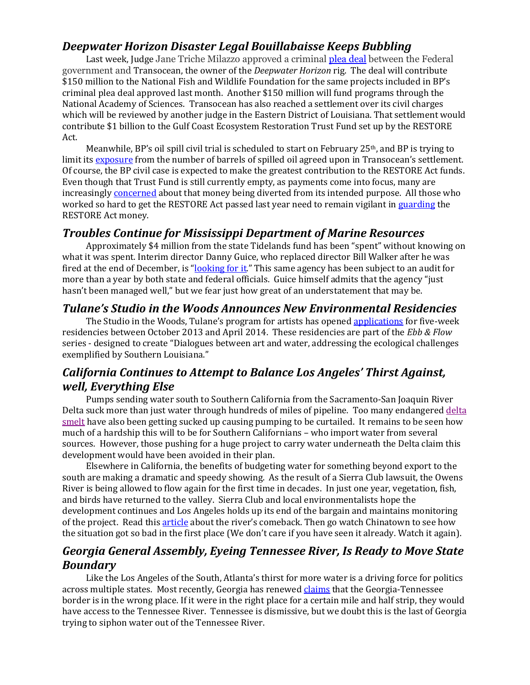#### *Deepwater Horizon Disaster Legal Bouillabaisse Keeps Bubbling*

Last week, Judge Jane Triche Milazzo approved a criminal [plea deal](http://www.nola.com/news/gulf-oil-spill/index.ssf/2013/02/federal_judge_approves_400_mil.html) between the Federal government and Transocean, the owner of the *Deepwater Horizon* rig. The deal will contribute \$150 million to the National Fish and Wildlife Foundation for the same projects included in BP's criminal plea deal approved last month. Another \$150 million will fund programs through the National Academy of Sciences. Transocean has also reached a settlement over its civil charges which will be reviewed by another judge in the Eastern District of Louisiana. That settlement would contribute \$1 billion to the Gulf Coast Ecosystem Restoration Trust Fund set up by the RESTORE Act.

Meanwhile, BP's oil spill civil trial is scheduled to start on February  $25<sup>th</sup>$ , and BP is trying to limit its [exposure](http://fuelfix.com/blog/2013/02/13/bp-feud-with-us-government-over-gulf-oil-spill-heats-up/) from the number of barrels of spilled oil agreed upon in Transocean's settlement. Of course, the BP civil case is expected to make the greatest contribution to the RESTORE Act funds. Even though that Trust Fund is still currently empty, as payments come into focus, many are increasingl[y concerned](http://www.nola.com/outdoors/index.ssf/2013/02/groups_concerned_restore_act_m.html) about that money being diverted from its intended purpose. All those who worked so hard to get the RESTORE Act passed last year need to remain vigilant i[n guarding](http://www.nola.com/opinions/index.ssf/2013/02/keeping_guard_over_restore_act.html) the RESTORE Act money.

#### *Troubles Continue for Mississippi Department of Marine Resources*

Approximately \$4 million from the state Tidelands fund has been "spent" without knowing on what it was spent. Interim director Danny Guice, who replaced director Bill Walker after he was fired at the end of December, is "[looking for it](http://www.sunherald.com/2013/02/16/4473371/interim-dmr-director-looking-for.html)." This same agency has been subject to an audit for more than a year by both state and federal officials. Guice himself admits that the agency "just hasn't been managed well," but we fear just how great of an understatement that may be.

#### *Tulane's Studio in the Woods Announces New Environmental Residencies*

The Studio in the Woods, Tulane's program for artists has opened [applications](http://hosted.verticalresponse.com/155397/1b6a143653/316960979/5bc740dd63/) for five-week residencies between October 2013 and April 2014. These residencies are part of the *Ebb & Flow* series - designed to create "Dialogues between art and water, addressing the ecological challenges exemplified by Southern Louisiana."

# *California Continues to Attempt to Balance Los Angeles' Thirst Against, well, Everything Else*

Pumps sending water south to Southern California from the Sacramento-San Joaquin River Delta suck more than just water through hundreds of miles of pipeline. Too many endangere[d delta](http://www.latimes.com/news/local/la-me-water-smelt-20130213,0,7853913.story)  [smelt](http://www.latimes.com/news/local/la-me-water-smelt-20130213,0,7853913.story) have also been getting sucked up causing pumping to be curtailed. It remains to be seen how much of a hardship this will to be for Southern Californians – who import water from several sources. However, those pushing for a huge project to carry water underneath the Delta claim this development would have been avoided in their plan.

Elsewhere in California, the benefits of budgeting water for something beyond export to the south are making a dramatic and speedy showing. As the result of a Sierra Club lawsuit, the Owens River is being allowed to flow again for the first time in decades. In just one year, vegetation, fish, and birds have returned to the valley. Sierra Club and local environmentalists hope the development continues and Los Angeles holds up its end of the bargain and maintains monitoring of the project. Read thi[s article](http://www.nytimes.com/2008/01/12/us/12water.html?partner=rssnyt&emc=rss) about the river's comeback. Then go watch Chinatown to see how the situation got so bad in the first place (We don't care if you have seen it already. Watch it again).

#### *Georgia General Assembly, Eyeing Tennessee River, Is Ready to Move State Boundary*

Like the Los Angeles of the South, Atlanta's thirst for more water is a driving force for politics across multiple states. Most recently, Georgia has renewed [claims](http://www.timesfreepress.com/news/2013/feb/11/georgia-lawmakers-eye-tennessee-water/) that the Georgia-Tennessee border is in the wrong place. If it were in the right place for a certain mile and half strip, they would have access to the Tennessee River. Tennessee is dismissive, but we doubt this is the last of Georgia trying to siphon water out of the Tennessee River.